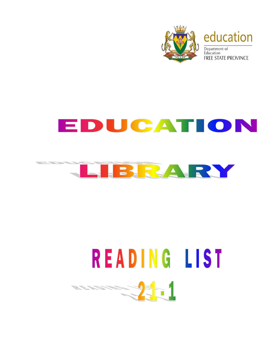

## EDUCATION



## READING LIST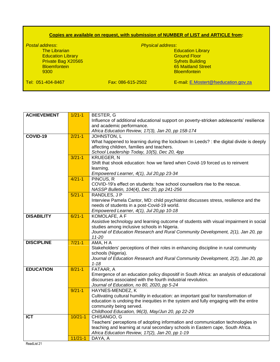## **Copies are available on request, with submission of NUMBER of LIST and ARTICLE from:**

*Postal address*: *Physical address*: **Education Library<br>Ground Floor** Education Library **Education Library** Control Control Control Control Control Control Control Control Control Control Control Control Control Control Control Control Control Control Control Control Control Control Control Private Bag X20565 Bloemfontein 65 Maitland Street **Bloemfontein** Tel: 051-404-8467 Fax: 086-615-2502 E-mail: [E.Mostert@fseducation.gov.za](mailto:E.Mostert@fseducation.gov.za)

| <b>ACHIEVEMENT</b> | $1/21 - 1$  | BESTER, G                                                                                                 |
|--------------------|-------------|-----------------------------------------------------------------------------------------------------------|
|                    |             | Influence of additional educational support on poverty-stricken adolescents' resilience                   |
|                    |             | and academic performance.                                                                                 |
|                    |             | Africa Education Review, 17(3), Jan 20, pp 158-174                                                        |
| COVID-19           | $2/21 - 1$  | JOHNSTON, L                                                                                               |
|                    |             | What happened to learning during the lockdown In Leeds? : the digital divide is deeply                    |
|                    |             | affecting children, families and teachers.                                                                |
|                    |             | School Leadership Today, 10(5), Dec 20, 4pp                                                               |
|                    | $3/21 - 1$  | <b>KRUEGER, N</b>                                                                                         |
|                    |             | Shift that shook education: how we fared when Covid-19 forced us to reinvent                              |
|                    |             | learning.                                                                                                 |
|                    |             | Empowered Learner, 4(1), Jul 20,pp 23-34                                                                  |
|                    | $4/21-1$    | PINCUS, R                                                                                                 |
|                    |             | COVID-19's effect on students: how school counsellors rise to the rescue.                                 |
|                    |             | NASSP Bulletin, 104(4), Dec 20, pp 241-256                                                                |
|                    | $5/21-1$    | RANDLES, J P                                                                                              |
|                    |             | Interview Pamela Cantor, MD: child psychiatrist discusses stress, resilience and the                      |
|                    |             | needs of students in a post-Covid-19 world.                                                               |
|                    |             | Empowered Learner, 4(1), Jul 20,pp 10-18                                                                  |
| <b>DISABILITY</b>  | $6/21 - 1$  | KOMOLAFE, A F                                                                                             |
|                    |             | Assistive technology and learning outcome of students with visual impairment in social                    |
|                    |             | studies among inclusive schools in Nigeria.                                                               |
|                    |             | Journal of Education Research and Rural Community Development, 2(1), Jan 20, pp                           |
| <b>DISCIPLINE</b>  | $7/21-1$    | $11 - 20$                                                                                                 |
|                    |             | $\overline{AMA}$ , $H$ A                                                                                  |
|                    |             | Stakeholders' perceptions of their roles in enhancing discipline in rural community<br>schools (Nigeria). |
|                    |             | Journal of Education Research and Rural Community Development, 2(2), Jan 20, pp                           |
|                    |             | $1 - 18$                                                                                                  |
| <b>EDUCATION</b>   | $8/21 - 1$  | FATAAR, A                                                                                                 |
|                    |             | Emergence of an education policy dispositif in South Africa: an analysis of educational                   |
|                    |             | discourses associated with the fourth industrial revolution.                                              |
|                    |             | Journal of Education, no 80, 2020, pp 5-24                                                                |
|                    | $9/21-1$    | HAYNES-MENDEZ, K                                                                                          |
|                    |             | Cultivating cultural humility in education: an important goal for transformation of                       |
|                    |             | education is undoing the inequities in the system and fully engaging with the entire                      |
|                    |             | community being served.                                                                                   |
|                    |             | Childhood Education, 96(3), May/Jun 20, pp 22-29                                                          |
| <b>ICT</b>         | $10/21 - 1$ | CHISANGO, G                                                                                               |
|                    |             | Teachers' perceptions of adopting information and communication technologies in                           |
|                    |             | teaching and learning at rural secondary schools in Eastern cape, South Africa.                           |
|                    |             | Africa Education Review, 17(2), Jan 20, pp 1-19                                                           |
|                    | $11/21 - 1$ | DAYA, A                                                                                                   |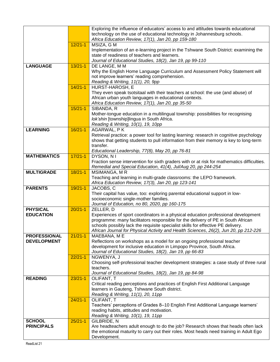|                     |             | Exploring the influence of educators' access to and attitudes towards educational                      |
|---------------------|-------------|--------------------------------------------------------------------------------------------------------|
|                     |             | technology on the use of educational technology in Johannesburg schools.                               |
|                     |             | Africa Education Review, 17(1), Jan 20, pp 159-180                                                     |
|                     |             |                                                                                                        |
|                     | $12/21 - 1$ | MSIZA, G M                                                                                             |
|                     |             | Implementation of an e-learning project in the Tshwane South District: examining the                   |
|                     |             | state of readiness of teachers and learners.                                                           |
|                     |             | Journal of Educational Studies, 18(2), Jan 19, pp 99-110                                               |
| <b>LANGUAGE</b>     | $13/21 - 1$ | DE LANGE, M M                                                                                          |
|                     |             |                                                                                                        |
|                     |             | Why the English Home Language Curriculum and Assessment Policy Statement will                          |
|                     |             | not improve learners' reading comprehension.                                                           |
|                     |             | Reading & Writing, 11(1), 20, 9pp                                                                      |
|                     | $14/21 - 1$ | HURST-HAROSH, E                                                                                        |
|                     |             | They even speak tsotsitaal with their teachers at school: the use (and abuse) of                       |
|                     |             | African urban youth languages in educational contexts.                                                 |
|                     |             |                                                                                                        |
|                     |             | Africa Education Review, 17(1), Jan 20, pp 35-50                                                       |
|                     | $15/21-1$   | SIBANDA, R                                                                                             |
|                     |             | Mother-tongue education in a multilingual township: possibilities for recognising                      |
|                     |             | lok'shin [township]lingua in South Africa.                                                             |
|                     |             | Reading & Writing, 10(1), 19, 10pp                                                                     |
| <b>LEARNING</b>     | $16/21-1$   | AGARWAL, PK                                                                                            |
|                     |             | Retrieval practice: a power tool for lasting learning: research in cognitive psychology                |
|                     |             | shows that getting students to pull information from their memory is key to long-term                  |
|                     |             |                                                                                                        |
|                     |             | transfer.                                                                                              |
|                     |             | Educational Leadership, 77(8), May 20, pp 76-81                                                        |
| <b>MATHEMATICS</b>  | $17/21 - 1$ | DYSON, N I                                                                                             |
|                     |             | Fraction sense intervention for sixth graders with or at risk for mathematics difficulties.            |
|                     |             | Remedial and Special Education, 41(4), Jul/Aug 20, pp 244-254                                          |
| <b>MULTIGRADE</b>   | $18/21 - 1$ | MSIMANGA, MR                                                                                           |
|                     |             | Teaching and learning in multi-grade classrooms: the LEPO framework.                                   |
|                     |             |                                                                                                        |
|                     |             | Africa Education Review, 17(3), Jan 20, pp 123-141                                                     |
| <b>PARENTS</b>      | $19/21 - 1$ | JACOBS, C                                                                                              |
|                     |             | Their capital has value, too: exploring parental educational support in low-                           |
|                     |             | socioeconomic single-mother families.                                                                  |
|                     |             | Journal of Education, no 80, 2020, pp 160-175                                                          |
| <b>PHYSICAL</b>     | $20/21 - 1$ | ZELLER, D                                                                                              |
| <b>EDUCATION</b>    |             | Experiences of sport coordinators in a physical education professional development                     |
|                     |             | programme: many facilitators responsible for the delivery of PE in South African                       |
|                     |             |                                                                                                        |
|                     |             |                                                                                                        |
|                     |             | schools possibly lack the requisite specialist skills for effective PE delivery.                       |
|                     |             | African Journal for Physical Activity and Health Sciences, 26(2), Jun 20, pp 212-226                   |
| <b>PROFESSIONAL</b> | $21/21 - 1$ | MAEBANA, ME                                                                                            |
|                     |             |                                                                                                        |
| <b>DEVELOPMENT</b>  |             | Reflections on workshops as a model for an ongoing professional teacher                                |
|                     |             | development for inclusive education in Limpopo Province, South Africa.                                 |
|                     |             | Journal of Educational Studies, 18(2), Jan 19, pp 66-83                                                |
|                     | $22/21 - 1$ | NGWENYA, J                                                                                             |
|                     |             | Choosing self-professional teacher development strategies: a case study of three rural                 |
|                     |             | teachers.                                                                                              |
|                     |             | Journal of Educational Studies, 18(2), Jan 19, pp 84-98                                                |
|                     |             |                                                                                                        |
| <b>READING</b>      | $23/21 - 1$ | OLIFANT, T                                                                                             |
|                     |             | Critical reading perceptions and practices of English First Additional Language                        |
|                     |             | learners in Gauteng, Tshwane South district.                                                           |
|                     |             | Reading & Writing, 11(1), 20, 11pp                                                                     |
|                     | $24/21 - 1$ | OLIFANT, T                                                                                             |
|                     |             | Teachers' perceptions of Grades 8-10 English First Additional Language learners'                       |
|                     |             | reading habits, attitudes and motivation.                                                              |
|                     |             |                                                                                                        |
|                     |             | Reading & Writing, 10(1), 19, 11pp                                                                     |
| <b>SCHOOL</b>       | $25/21-1$   | GILBRIDE, N                                                                                            |
| <b>PRINCIPALS</b>   |             | Are headteachers adult enough to do the job? Research shows that heads often lack                      |
|                     |             | the emotional maturity to carry out their roles. Most heads need training in Adult Ego<br>Development. |